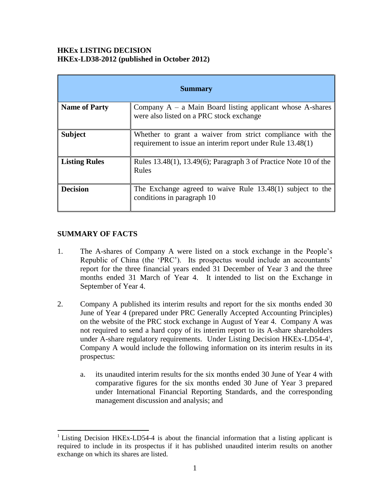#### **HKEx LISTING DECISION HKEx-LD38-2012 (published in October 2012)**

| <b>Summary</b>       |                                                                                                                         |
|----------------------|-------------------------------------------------------------------------------------------------------------------------|
| <b>Name of Party</b> | Company $A - a$ Main Board listing applicant whose A-shares<br>were also listed on a PRC stock exchange                 |
| <b>Subject</b>       | Whether to grant a waiver from strict compliance with the<br>requirement to issue an interim report under Rule 13.48(1) |
| <b>Listing Rules</b> | Rules $13.48(1)$ , $13.49(6)$ ; Paragraph 3 of Practice Note 10 of the<br>Rules                                         |
| <b>Decision</b>      | The Exchange agreed to waive Rule 13.48(1) subject to the<br>conditions in paragraph 10                                 |

#### **SUMMARY OF FACTS**

 $\overline{a}$ 

- 1. The A-shares of Company A were listed on a stock exchange in the People"s Republic of China (the 'PRC'). Its prospectus would include an accountants' report for the three financial years ended 31 December of Year 3 and the three months ended 31 March of Year 4. It intended to list on the Exchange in September of Year 4.
- 2. Company A published its interim results and report for the six months ended 30 June of Year 4 (prepared under PRC Generally Accepted Accounting Principles) on the website of the PRC stock exchange in August of Year 4. Company A was not required to send a hard copy of its interim report to its A-share shareholders under A-share regulatory requirements. Under Listing Decision HKEx-LD54-4<sup>1</sup>, Company A would include the following information on its interim results in its prospectus:
	- a. its unaudited interim results for the six months ended 30 June of Year 4 with comparative figures for the six months ended 30 June of Year 3 prepared under International Financial Reporting Standards, and the corresponding management discussion and analysis; and

<sup>&</sup>lt;sup>1</sup> Listing Decision HKEx-LD54-4 is about the financial information that a listing applicant is required to include in its prospectus if it has published unaudited interim results on another exchange on which its shares are listed.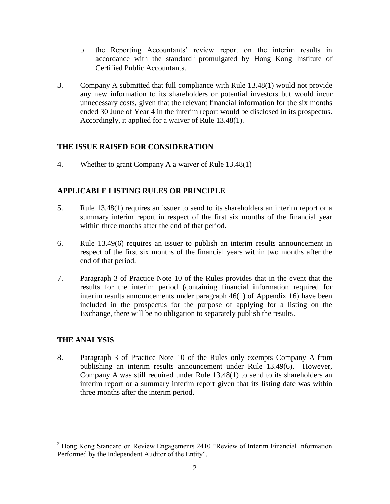- b. the Reporting Accountants' review report on the interim results in accordance with the standard<sup>2</sup> promulgated by Hong Kong Institute of Certified Public Accountants.
- 3. Company A submitted that full compliance with Rule 13.48(1) would not provide any new information to its shareholders or potential investors but would incur unnecessary costs, given that the relevant financial information for the six months ended 30 June of Year 4 in the interim report would be disclosed in its prospectus. Accordingly, it applied for a waiver of Rule 13.48(1).

# **THE ISSUE RAISED FOR CONSIDERATION**

4. Whether to grant Company A a waiver of Rule 13.48(1)

# **APPLICABLE LISTING RULES OR PRINCIPLE**

- 5. Rule 13.48(1) requires an issuer to send to its shareholders an interim report or a summary interim report in respect of the first six months of the financial year within three months after the end of that period.
- 6. Rule 13.49(6) requires an issuer to publish an interim results announcement in respect of the first six months of the financial years within two months after the end of that period.
- 7. Paragraph 3 of Practice Note 10 of the Rules provides that in the event that the results for the interim period (containing financial information required for interim results announcements under paragraph 46(1) of Appendix 16) have been included in the prospectus for the purpose of applying for a listing on the Exchange, there will be no obligation to separately publish the results.

## **THE ANALYSIS**

 $\overline{a}$ 

8. Paragraph 3 of Practice Note 10 of the Rules only exempts Company A from publishing an interim results announcement under Rule 13.49(6). However, Company A was still required under Rule 13.48(1) to send to its shareholders an interim report or a summary interim report given that its listing date was within three months after the interim period.

<sup>&</sup>lt;sup>2</sup> Hong Kong Standard on Review Engagements 2410 "Review of Interim Financial Information Performed by the Independent Auditor of the Entity".